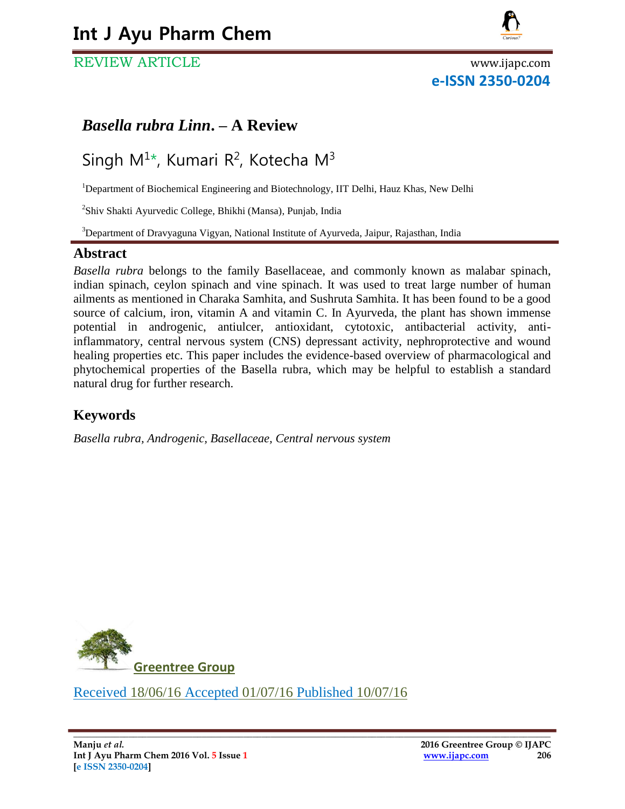# **Int J Ayu Pharm Chem**

# REVIEW ARTICLE www.ijapc.com



# **e-ISSN 2350-0204**

# *Basella rubra Linn***. – A Review**

# Singh  $M^{1*}$ , Kumari R<sup>2</sup>, Kotecha M<sup>3</sup>

<sup>1</sup>Department of Biochemical Engineering and Biotechnology, IIT Delhi, Hauz Khas, New Delhi

<sup>2</sup>Shiv Shakti Ayurvedic College, Bhikhi (Mansa), Punjab, India

<sup>3</sup>Department of Dravyaguna Vigyan, National Institute of Ayurveda, Jaipur, Rajasthan, India

#### **Abstract**

*Basella rubra* belongs to the family Basellaceae, and commonly known as malabar spinach, indian spinach, ceylon spinach and vine spinach. It was used to treat large number of human ailments as mentioned in Charaka Samhita, and Sushruta Samhita. It has been found to be a good source of calcium, iron, vitamin A and vitamin C. In Ayurveda, the plant has shown immense potential in androgenic, antiulcer, antioxidant, cytotoxic, antibacterial activity, antiinflammatory, central nervous system (CNS) depressant activity, nephroprotective and wound healing properties etc. This paper includes the evidence-based overview of pharmacological and phytochemical properties of the Basella rubra, which may be helpful to establish a standard natural drug for further research.

# **Keywords**

*Basella rubra, Androgenic, Basellaceae, Central nervous system*



Received 18/06/16 Accepted 01/07/16 Published 10/07/16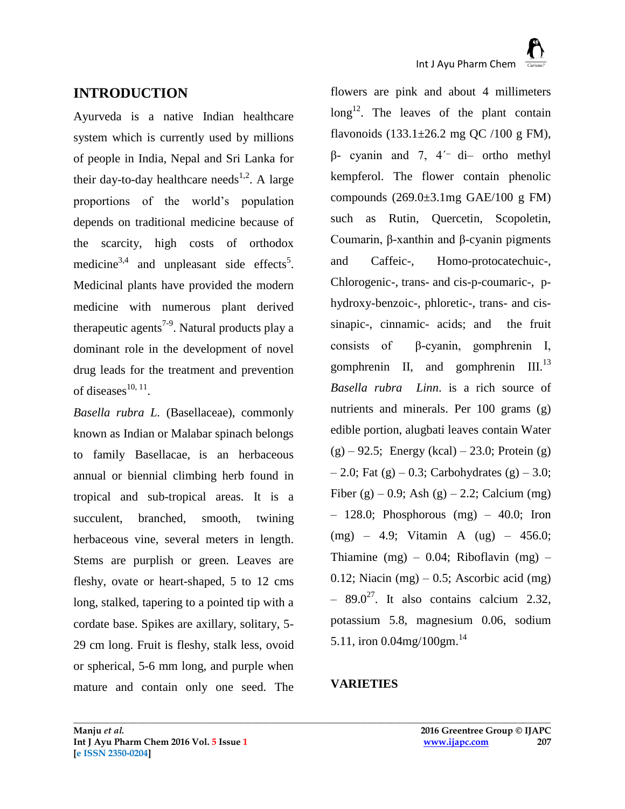# **INTRODUCTION**

Ayurveda is a native Indian healthcare system which is currently used by millions of people in India, Nepal and Sri Lanka for their day-to-day healthcare needs<sup>1,2</sup>. A large proportions of the world's population depends on traditional medicine because of the scarcity, high costs of orthodox medicine<sup>3,4</sup> and unpleasant side effects<sup>5</sup>. Medicinal plants have provided the modern medicine with numerous plant derived therapeutic agents<sup>7-9</sup>. Natural products play a dominant role in the development of novel drug leads for the treatment and prevention of diseases $^{10, 11}$ .

*Basella rubra L.* (Basellaceae), commonly known as Indian or Malabar spinach belongs to family Basellacae, is an herbaceous annual or biennial climbing herb found in tropical and sub-tropical areas. It is a succulent, branched, smooth, twining herbaceous vine, several meters in length. Stems are purplish or green. Leaves are fleshy, ovate or heart-shaped, 5 to 12 cms long, stalked, tapering to a pointed tip with a cordate base. Spikes are axillary, solitary, 5- 29 cm long. Fruit is fleshy, stalk less, ovoid or spherical, 5-6 mm long, and purple when mature and contain only one seed. The

flowers are pink and about 4 millimeters  $\log^{12}$ . The leaves of the plant contain flavonoids  $(133.1 \pm 26.2 \text{ mg }$  QC  $/100 \text{ g }$  FM),  $β$ - cyanin and 7, 4<sup>'-</sup> di– ortho methyl kempferol. The flower contain phenolic compounds  $(269.0\pm3.1\text{mg } GAE/100 \text{ g } FM)$ such as Rutin, Quercetin, Scopoletin, Coumarin, β-xanthin and β-cyanin pigments and Caffeic-, Homo-protocatechuic-, Chlorogenic-, trans- and cis-p-coumaric-, phydroxy-benzoic-, phloretic-, trans- and cissinapic-, cinnamic- acids; and the fruit consists of β-cyanin, gomphrenin І, gomphrenin II, and gomphrenin  $III.^{13}$ *Basella rubra Linn*. is a rich source of nutrients and minerals. Per 100 grams (g) edible portion, alugbati leaves contain Water  $(g) - 92.5$ ; Energy (kcal) – 23.0; Protein (g)  $-2.0$ ; Fat (g)  $-0.3$ ; Carbohydrates (g)  $-3.0$ ; Fiber (g) – 0.9; Ash (g) – 2.2; Calcium (mg)  $-128.0$ ; Phosphorous (mg)  $-40.0$ ; Iron (mg) – 4.9; Vitamin A (ug) – 456.0; Thiamine  $(mg) - 0.04$ ; Riboflavin  $(mg) -$ 0.12; Niacin  $(mg) - 0.5$ ; Ascorbic acid  $(mg)$  $-89.0^{27}$ . It also contains calcium 2.32, potassium 5.8, magnesium 0.06, sodium 5.11, iron 0.04mg/100gm.<sup>14</sup>

# **VARIETIES**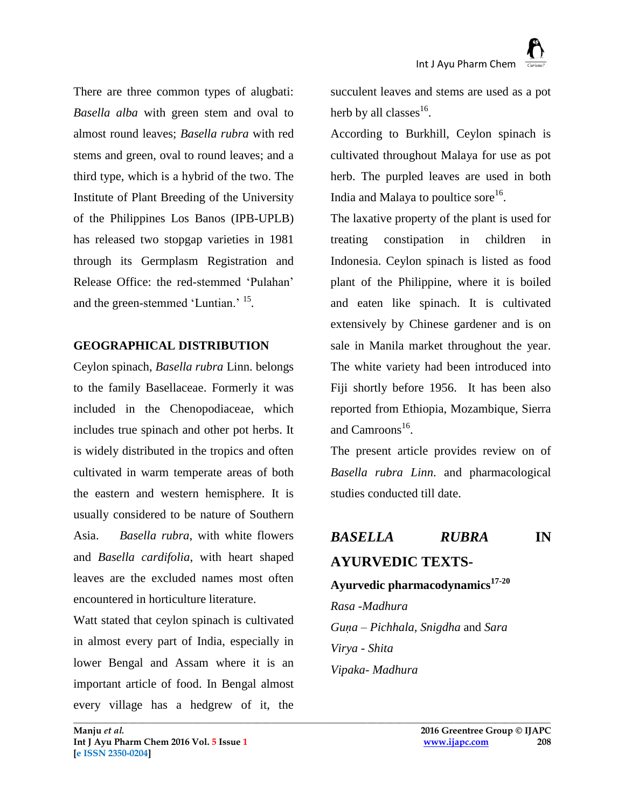There are three common types of alugbati: *Basella alba* with green stem and oval to almost round leaves; *Basella rubra* with red stems and green, oval to round leaves; and a third type, which is a hybrid of the two. The Institute of Plant Breeding of the University of the Philippines Los Banos (IPB-UPLB) has released two stopgap varieties in 1981 through its Germplasm Registration and Release Office: the red-stemmed 'Pulahan' and the green-stemmed 'Luntian.' <sup>15</sup> *.* 

## **GEOGRAPHICAL DISTRIBUTION**

Ceylon spinach, *Basella rubra* Linn. belongs to the family Basellaceae. Formerly it was included in the Chenopodiaceae, which includes true spinach and other pot herbs. It is widely distributed in the tropics and often cultivated in warm temperate areas of both the eastern and western hemisphere. It is usually considered to be nature of Southern Asia. *Basella rubra*, with white flowers and *Basella cardifolia*, with heart shaped leaves are the excluded names most often encountered in horticulture literature.

Watt stated that ceylon spinach is cultivated in almost every part of India, especially in lower Bengal and Assam where it is an important article of food. In Bengal almost every village has a hedgrew of it, the

succulent leaves and stems are used as a pot herb by all classes $^{16}$ .

According to Burkhill, Ceylon spinach is cultivated throughout Malaya for use as pot herb. The purpled leaves are used in both India and Malaya to poultice sore $^{16}$ .

The laxative property of the plant is used for treating constipation in children in Indonesia. Ceylon spinach is listed as food plant of the Philippine, where it is boiled and eaten like spinach. It is cultivated extensively by Chinese gardener and is on sale in Manila market throughout the year. The white variety had been introduced into Fiji shortly before 1956. It has been also reported from Ethiopia, Mozambique, Sierra and Camroons<sup>16</sup>.

The present article provides review on of *Basella rubra Linn*. and pharmacological studies conducted till date.

# *BASELLA RUBRA* **IN AYURVEDIC TEXTS-Ayurvedic pharmacodynamics17-20**

*Rasa -Madhura Guṇa – Pichhala, Snigdha* and *Sara Virya - Shita Vipaka- Madhura*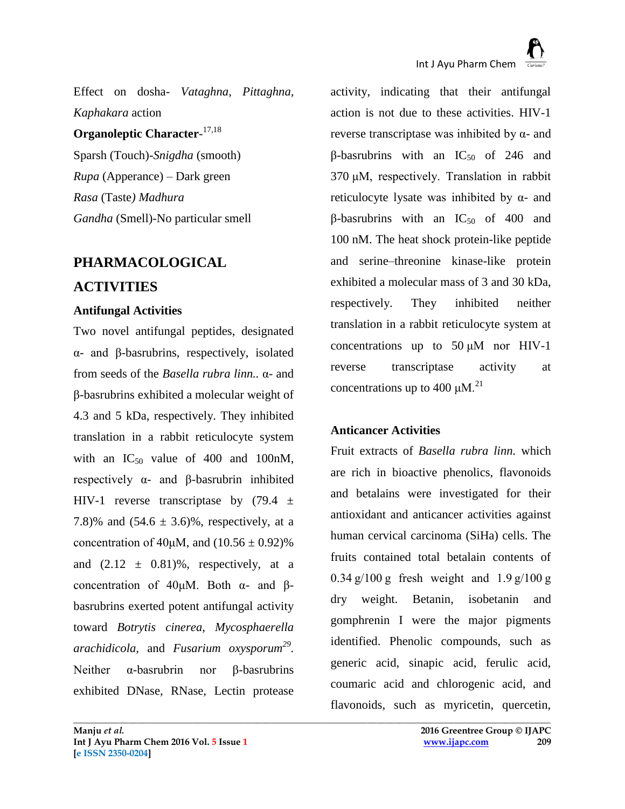Effect on dosha- *Vataghna, Pittaghna, Kaphakara* action

**Organoleptic Character**-17,18 Sparsh (Touch)-*Snigdha* (smooth) *Rupa* (Apperance) *–* Dark green *Rasa* (Taste*) Madhura Gandha* (Smell)-No particular smell

# **PHARMACOLOGICAL**

# **ACTIVITIES**

#### **Antifungal Activities**

Two novel antifungal peptides, designated α- and β-basrubrins, respectively, isolated from seeds of the *Basella rubra linn..* α- and β-basrubrins exhibited a molecular weight of 4.3 and 5 kDa, respectively. They inhibited translation in a rabbit reticulocyte system with an  $IC_{50}$  value of 400 and 100 nM, respectively α- and β-basrubrin inhibited HIV-1 reverse transcriptase by  $(79.4 \pm$ 7.8)% and  $(54.6 \pm 3.6)$ %, respectively, at a concentration of 40μM, and  $(10.56 \pm 0.92)\%$ and  $(2.12 \pm 0.81)\%$ , respectively, at a concentration of 40μM. Both α- and βbasrubrins exerted potent antifungal activity toward *Botrytis cinerea, Mycosphaerella arachidicola,* and *Fusarium oxysporum<sup>29</sup> .*  Neither α-basrubrin nor β-basrubrins exhibited DNase, RNase, Lectin protease

activity, indicating that their antifungal action is not due to these activities. [HIV-1](http://www.sciencedirect.com/science/article/pii/S0196978104002025#200021642)  [reverse transcriptase](http://www.sciencedirect.com/science/article/pii/S0196978104002025#200021642) was inhibited by  $α$ - and β-basrubrins with an  $IC_{50}$  of 246 and 370 μM, respectively. Translation in rabbit reticulocyte [lysate](http://www.sciencedirect.com/science/article/pii/S0196978104002025#200024313) was inhibited by  $\alpha$ - and β-basrubrins with an  $IC_{50}$  of 400 and 100 nM. The heat shock protein-like peptide and serine–threonine kinase-like protein exhibited a molecular mass of 3 and 30 kDa, respectively. They inhibited neither translation in a rabbit reticulocyte system at concentrations up to  $50 \mu M$  nor HIV-1 reverse transcriptase activity at concentrations up to 400  $\mu$ M.<sup>21</sup>

# **Anticancer Activities**

**\_\_\_\_\_\_\_\_\_\_\_\_\_\_\_\_\_\_\_\_\_\_\_\_\_\_\_\_\_\_\_\_\_\_\_\_\_\_\_\_\_\_\_\_\_\_\_\_\_\_\_\_\_\_\_\_\_\_\_\_\_\_\_\_\_\_\_\_\_\_\_\_\_\_\_\_\_\_\_\_\_\_\_\_\_\_\_\_\_\_\_\_\_\_\_\_\_\_\_\_\_\_\_\_**

Fruit extracts of *Basella rubra linn.* which are rich in bioactive phenolics, flavonoids and betalains were investigated for their antioxidant and anticancer activities against human cervical carcinoma (SiHa) cells. The fruits contained total betalain contents of  $0.34$  g/100 g fresh weight and  $1.9$  g/100 g dry weight. Betanin, isobetanin and gomphrenin I were the major pigments identified. Phenolic compounds, such as generic acid, sinapic acid, ferulic acid, coumaric acid and chlorogenic acid, and flavonoids, such as myricetin, quercetin,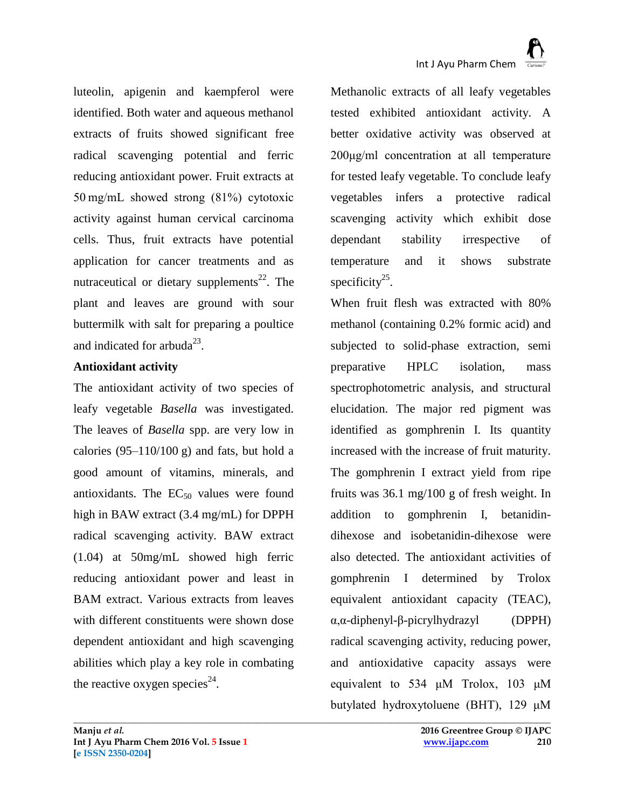luteolin, apigenin and kaempferol were identified. Both water and aqueous methanol extracts of fruits showed significant free radical scavenging potential and ferric reducing antioxidant power. Fruit extracts at 50 mg/mL showed strong (81%) cytotoxic activity against human cervical carcinoma cells. Thus, fruit extracts have potential application for cancer treatments and as nutraceutical or dietary supplements<sup>22</sup>. The plant and leaves are ground with sour buttermilk with salt for preparing a poultice and indicated for arbuda<sup>23</sup>.

## **Antioxidant activity**

The antioxidant activity of two species of leafy vegetable *Basella* was investigated. The leaves of *Basella* spp. are very low in calories  $(95-110/100 \text{ g})$  and fats, but hold a good amount of vitamins, minerals, and antioxidants. The  $EC_{50}$  values were found high in BAW extract (3.4 mg/mL) for DPPH radical scavenging activity. BAW extract (1.04) at 50mg/mL showed high ferric reducing antioxidant power and least in BAM extract. Various extracts from leaves with different constituents were shown dose dependent antioxidant and high scavenging abilities which play a key role in combating the reactive oxygen species<sup>24</sup>.

Methanolic extracts of all leafy vegetables tested exhibited antioxidant activity. A better oxidative activity was observed at 200μg/ml concentration at all temperature for tested leafy vegetable. To conclude leafy vegetables infers a protective radical scavenging activity which exhibit dose dependant stability irrespective of temperature and it shows substrate specificity $2^5$ .

When fruit flesh was extracted with 80% methanol (containing 0.2% formic acid) and subjected to solid-phase extraction, semi preparative HPLC isolation, mass spectrophotometric analysis, and structural elucidation. The major red pigment was identified as gomphrenin I. Its quantity increased with the increase of fruit maturity. The gomphrenin I extract yield from ripe fruits was 36.1 mg/100 g of fresh weight. In addition to gomphrenin I, betanidindihexose and isobetanidin-dihexose were also detected. The antioxidant activities of gomphrenin I determined by Trolox equivalent antioxidant capacity (TEAC), α,α-diphenyl-β-picrylhydrazyl (DPPH) radical scavenging activity, reducing power, and antioxidative capacity assays were equivalent to 534 μM Trolox, 103 μM butylated hydroxytoluene (BHT), 129 μM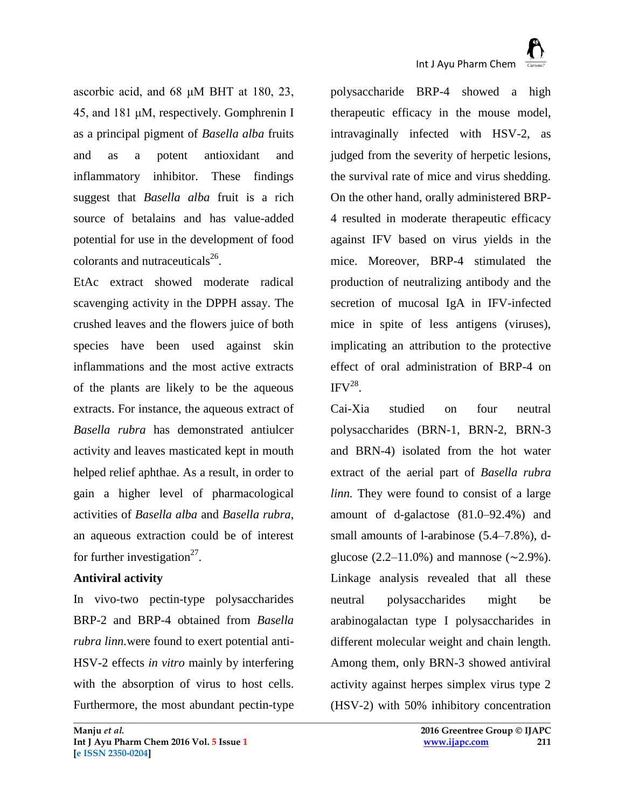ascorbic acid, and 68 μM BHT at 180, 23, 45, and 181 μM, respectively. Gomphrenin I as a principal pigment of *Basella alba* fruits and as a potent antioxidant and inflammatory inhibitor. These findings suggest that *Basella alba* fruit is a rich source of betalains and has value-added potential for use in the development of food colorants and nutraceuticals $^{26}$ .

EtAc extract showed moderate radical scavenging activity in the DPPH assay. The crushed leaves and the flowers juice of both species have been used against skin inflammations and the most active extracts of the plants are likely to be the aqueous extracts. For instance, the aqueous extract of *Basella rubra* has demonstrated antiulcer activity and leaves masticated kept in mouth helped relief aphthae. As a result, in order to gain a higher level of pharmacological activities of *Basella alba* and *Basella rubra*, an aqueous extraction could be of interest for further investigation<sup>27</sup>.

#### **Antiviral activity**

In vivo-two pectin-type polysaccharides BRP-2 and BRP-4 obtained from *Basella rubra linn.*were found to exert potential anti-HSV-2 effects *in vitro* mainly by interfering with the absorption of virus to host cells. Furthermore, the most abundant pectin-type

**\_\_\_\_\_\_\_\_\_\_\_\_\_\_\_\_\_\_\_\_\_\_\_\_\_\_\_\_\_\_\_\_\_\_\_\_\_\_\_\_\_\_\_\_\_\_\_\_\_\_\_\_\_\_\_\_\_\_\_\_\_\_\_\_\_\_\_\_\_\_\_\_\_\_\_\_\_\_\_\_\_\_\_\_\_\_\_\_\_\_\_\_\_\_\_\_\_\_\_\_\_\_\_\_**

polysaccharide BRP-4 showed a high therapeutic efficacy in the mouse model, intravaginally infected with HSV-2, as judged from the severity of herpetic lesions, the survival rate of mice and virus shedding. On the other hand, orally administered BRP-4 resulted in moderate therapeutic efficacy against IFV based on virus yields in the mice. Moreover, BRP-4 stimulated the production of neutralizing antibody and the secretion of mucosal IgA in IFV-infected mice in spite of less antigens (viruses), implicating an attribution to the protective effect of oral administration of BRP-4 on  $IFV<sup>28</sup>$ .

Cai-Xia studied on four neutral polysaccharides (BRN-1, BRN-2, BRN-3 and BRN-4) isolated from the hot water extract of the aerial part of *Basella rubra linn.* They were found to consist of a large amount of d-galactose (81.0–92.4%) and small amounts of l-arabinose (5.4–7.8%), dglucose (2.2–11.0%) and mannose ( $\sim$ 2.9%). Linkage analysis revealed that all these neutral polysaccharides might be arabinogalactan type I polysaccharides in different molecular weight and chain length. Among them, only BRN-3 showed antiviral activity against herpes simplex virus type 2 (HSV-2) with 50% inhibitory concentration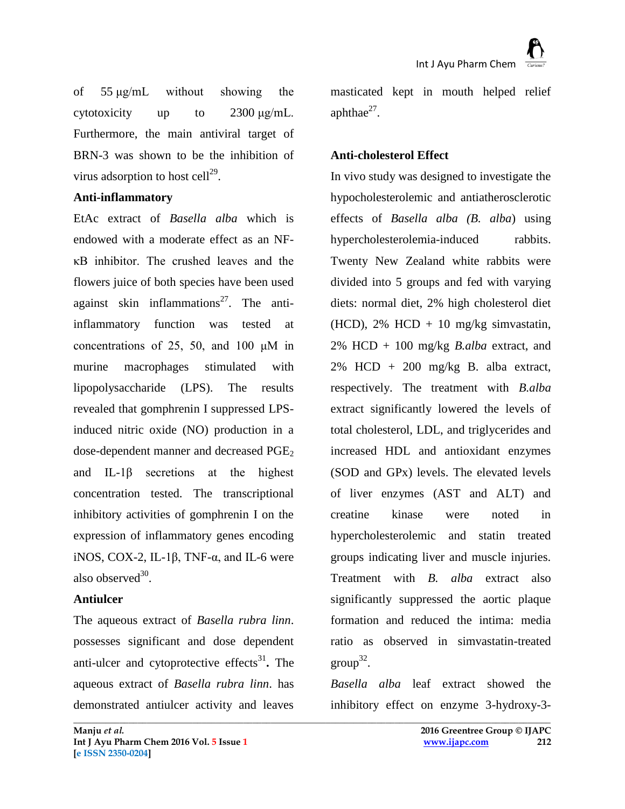of 55 μg/mL without showing the cytotoxicity up to 2300 μg/mL. Furthermore, the main antiviral target of BRN-3 was shown to be the inhibition of virus adsorption to host cell $^{29}$ .

#### **Anti-inflammatory**

EtAc extract of *Basella alba* which is endowed with a moderate effect as an NFκB inhibitor. The crushed leaves and the flowers juice of both species have been used against skin inflammations<sup>27</sup>. The antiinflammatory function was tested at concentrations of 25, 50, and 100 μM in murine macrophages stimulated with lipopolysaccharide (LPS). The results revealed that gomphrenin I suppressed LPSinduced nitric oxide (NO) production in a dose-dependent manner and decreased PGE<sub>2</sub> and IL-1β secretions at the highest concentration tested. The transcriptional inhibitory activities of gomphrenin I on the expression of inflammatory genes encoding iNOS, COX-2, IL-1β, TNF- $\alpha$ , and IL-6 were also observed $^{30}$ .

#### **Antiulcer**

The aqueous extract of *Basella rubra linn*. possesses significant and dose dependent anti-ulcer and cytoprotective effects<sup>31</sup>. The aqueous extract of *Basella rubra linn*. has demonstrated antiulcer activity and leaves

masticated kept in mouth helped relief aphthae $^{27}$ .

#### **Anti-cholesterol Effect**

In vivo study was designed to investigate the hypocholesterolemic and antiatherosclerotic effects of *Basella alba (B. alba*) using hypercholesterolemia-induced rabbits. Twenty New Zealand white rabbits were divided into 5 groups and fed with varying diets: normal diet, 2% high cholesterol diet (HCD),  $2\%$  HCD + 10 mg/kg simvastatin, 2% HCD + 100 mg/kg *B.alba* extract, and  $2\%$  HCD + 200 mg/kg B. alba extract, respectively. The treatment with *B.alba* extract significantly lowered the levels of total cholesterol, LDL, and triglycerides and increased HDL and antioxidant enzymes (SOD and GPx) levels. The elevated levels of liver enzymes (AST and ALT) and creatine kinase were noted in hypercholesterolemic and statin treated groups indicating liver and muscle injuries. Treatment with *B. alba* extract also significantly suppressed the aortic plaque formation and reduced the intima: media ratio as observed in simvastatin-treated  $group^{32}$ .

*Basella alba* leaf extract showed the inhibitory effect on enzyme 3-hydroxy-3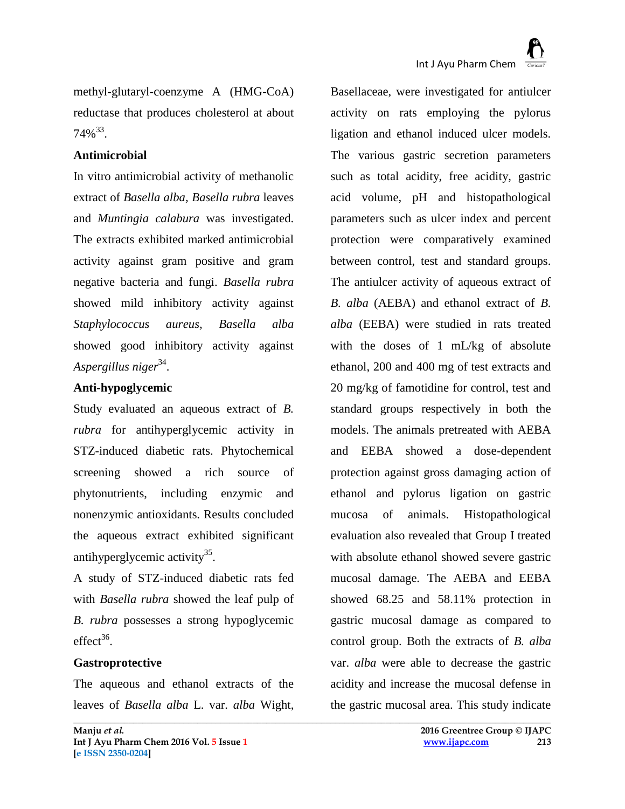methyl-glutaryl-coenzyme A (HMG-CoA) reductase that produces cholesterol at about  $74\%^{33}$ .

#### **Antimicrobial**

In vitro antimicrobial activity of methanolic extract of *Basella alba, Basella rubra* leaves and *Muntingia calabura* was investigated. The extracts exhibited marked antimicrobial activity against gram positive and gram negative bacteria and fungi. *Basella rubra* showed mild inhibitory activity against *Staphylococcus aureus, Basella alba* showed good inhibitory activity against *Aspergillus niger*<sup>34</sup> .

## **Anti-hypoglycemic**

Study evaluated an aqueous extract of *B. rubra* for antihyperglycemic activity in STZ-induced diabetic rats. Phytochemical screening showed a rich source of phytonutrients, including enzymic and nonenzymic antioxidants. Results concluded the aqueous extract exhibited significant antihyperglycemic activity<sup>35</sup>.

A study of STZ-induced diabetic rats fed with *Basella rubra* showed the leaf pulp of *B. rubra* possesses a strong hypoglycemic  $effect^{36}$ .

## **Gastroprotective**

The aqueous and ethanol extracts of the leaves of *Basella alba* L. var. *alba* Wight,

**\_\_\_\_\_\_\_\_\_\_\_\_\_\_\_\_\_\_\_\_\_\_\_\_\_\_\_\_\_\_\_\_\_\_\_\_\_\_\_\_\_\_\_\_\_\_\_\_\_\_\_\_\_\_\_\_\_\_\_\_\_\_\_\_\_\_\_\_\_\_\_\_\_\_\_\_\_\_\_\_\_\_\_\_\_\_\_\_\_\_\_\_\_\_\_\_\_\_\_\_\_\_\_\_**

Basellaceae, were investigated for antiulcer activity on rats employing the pylorus ligation and ethanol induced ulcer models. The various gastric secretion parameters such as total acidity, free acidity, gastric acid volume, pH and histopathological parameters such as ulcer index and percent protection were comparatively examined between control, test and standard groups. The antiulcer activity of aqueous extract of *B. alba* (AEBA) and ethanol extract of *B. alba* (EEBA) were studied in rats treated with the doses of 1 mL/kg of absolute ethanol, 200 and 400 mg of test extracts and 20 mg/kg of famotidine for control, test and standard groups respectively in both the models. The animals pretreated with AEBA and EEBA showed a dose-dependent protection against gross damaging action of ethanol and pylorus ligation on gastric mucosa of animals. Histopathological evaluation also revealed that Group I treated with absolute ethanol showed severe gastric mucosal damage. The AEBA and EEBA showed 68.25 and 58.11% protection in gastric mucosal damage as compared to control group. Both the extracts of *B. alba* var. *alba* were able to decrease the gastric acidity and increase the mucosal defense in the gastric mucosal area. This study indicate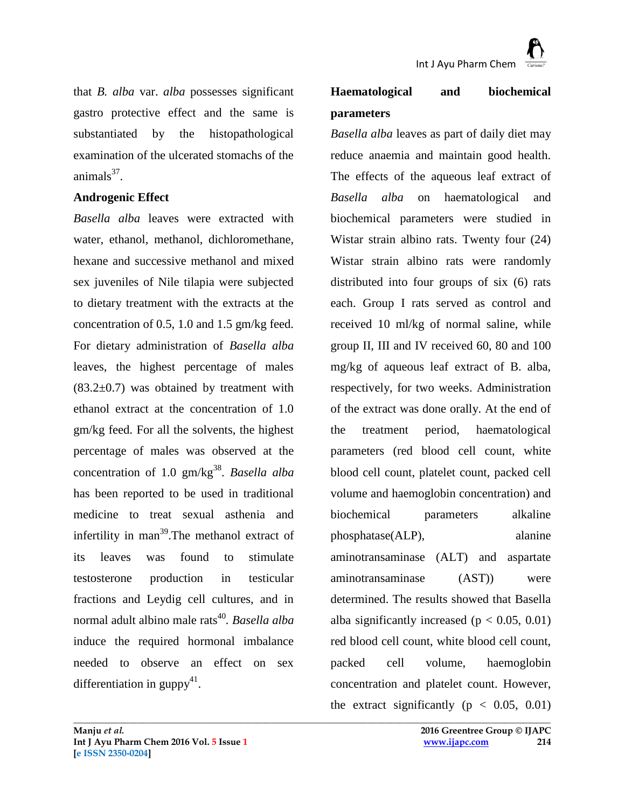that *B. alba* var. *alba* possesses significant gastro protective effect and the same is substantiated by the histopathological examination of the ulcerated stomachs of the animals $37$ .

#### **Androgenic Effect**

*Basella alba* leaves were extracted with water, ethanol, methanol, dichloromethane, hexane and successive methanol and mixed sex juveniles of Nile tilapia were subjected to dietary treatment with the extracts at the concentration of 0.5, 1.0 and 1.5 gm/kg feed. For dietary administration of *Basella alba* leaves, the highest percentage of males  $(83.2\pm0.7)$  was obtained by treatment with ethanol extract at the concentration of 1.0 gm/kg feed. For all the solvents, the highest percentage of males was observed at the concentration of 1.0 gm/kg<sup>38</sup>. *Basella alba* has been reported to be used in traditional medicine to treat sexual asthenia and infertility in man<sup>39</sup>. The methanol extract of its leaves was found to stimulate testosterone production in testicular fractions and Leydig cell cultures, and in normal adult albino male rats<sup>40</sup>. Basella alba induce the required hormonal imbalance needed to observe an effect on sex differentiation in guppy<sup>41</sup>.

# **Haematological and biochemical parameters**

*Basella alba* leaves as part of daily diet may reduce anaemia and maintain good health. The effects of the aqueous leaf extract of *Basella alba* on haematological and biochemical parameters were studied in Wistar strain albino rats. Twenty four (24) Wistar strain albino rats were randomly distributed into four groups of six (6) rats each. Group I rats served as control and received 10 ml/kg of normal saline, while group II, III and IV received 60, 80 and 100 mg/kg of aqueous leaf extract of B. alba, respectively, for two weeks. Administration of the extract was done orally. At the end of the treatment period, haematological parameters (red blood cell count, white blood cell count, platelet count, packed cell volume and haemoglobin concentration) and biochemical parameters alkaline phosphatase(ALP), alanine aminotransaminase (ALT) and aspartate aminotransaminase (AST)) were determined. The results showed that Basella alba significantly increased ( $p < 0.05, 0.01$ ) red blood cell count, white blood cell count, packed cell volume, haemoglobin concentration and platelet count. However, the extract significantly ( $p < 0.05, 0.01$ )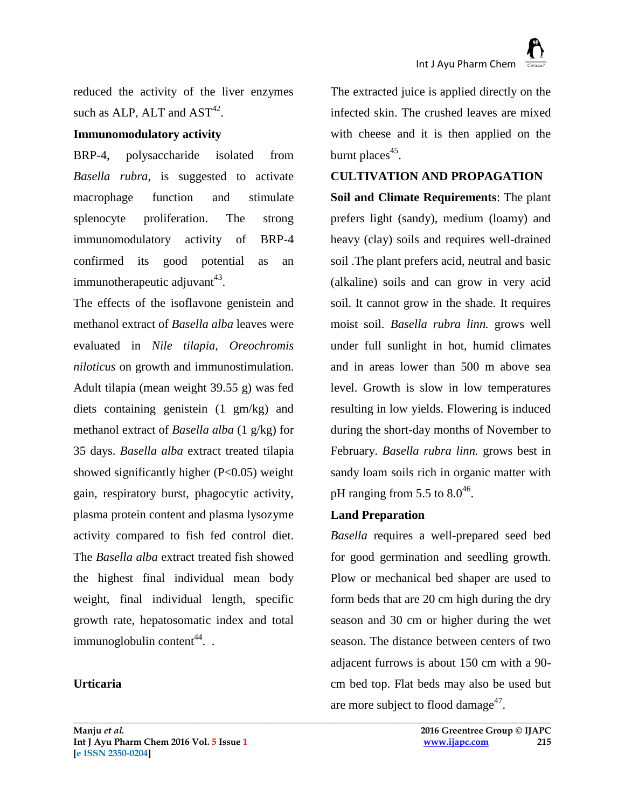reduced the activity of the liver enzymes such as ALP, ALT and  $AST^{42}$ .

#### **Immunomodulatory activity**

BRP-4, polysaccharide isolated from *Basella rubra*, is suggested to activate macrophage function and stimulate splenocyte proliferation. The strong immunomodulatory activity of BRP-4 confirmed its good potential as an immunotherapeutic adjuvant $^{43}$ .

The effects of the isoflavone genistein and methanol extract of *Basella alba* leaves were evaluated in *Nile tilapia, Oreochromis niloticus* on growth and immunostimulation. Adult tilapia (mean weight 39.55 g) was fed diets containing genistein (1 gm/kg) and methanol extract of *Basella alba* (1 g/kg) for 35 days. *Basella alba* extract treated tilapia showed significantly higher  $(P<0.05)$  weight gain, respiratory burst, phagocytic activity, plasma protein content and plasma lysozyme activity compared to fish fed control diet. The *Basella alba* extract treated fish showed the highest final individual mean body weight, final individual length, specific growth rate, hepatosomatic index and total immunoglobulin content<sup>44</sup>...

## **Urticaria**

The extracted juice is applied directly on the infected skin. The crushed leaves are mixed with cheese and it is then applied on the burnt places<sup>45</sup>.

#### **CULTIVATION AND PROPAGATION**

**Soil and Climate Requirements**: The plant prefers light (sandy), medium (loamy) and heavy (clay) soils and requires well-drained soil .The plant prefers acid, neutral and basic (alkaline) soils and can grow in very acid soil. It cannot grow in the shade. It requires moist soil. *Basella rubra linn.* grows well under full sunlight in hot, humid climates and in areas lower than 500 m above sea level. Growth is slow in low temperatures resulting in low yields. Flowering is induced during the short-day months of November to February. *Basella rubra linn.* grows best in sandy loam soils rich in organic matter with pH ranging from 5.5 to  $8.0^{46}$ .

#### **Land Preparation**

**\_\_\_\_\_\_\_\_\_\_\_\_\_\_\_\_\_\_\_\_\_\_\_\_\_\_\_\_\_\_\_\_\_\_\_\_\_\_\_\_\_\_\_\_\_\_\_\_\_\_\_\_\_\_\_\_\_\_\_\_\_\_\_\_\_\_\_\_\_\_\_\_\_\_\_\_\_\_\_\_\_\_\_\_\_\_\_\_\_\_\_\_\_\_\_\_\_\_\_\_\_\_\_\_**

*Basella* requires a well-prepared seed bed for good germination and seedling growth. Plow or mechanical bed shaper are used to form beds that are 20 cm high during the dry season and 30 cm or higher during the wet season. The distance between centers of two adjacent furrows is about 150 cm with a 90 cm bed top. Flat beds may also be used but are more subject to flood damage $47$ .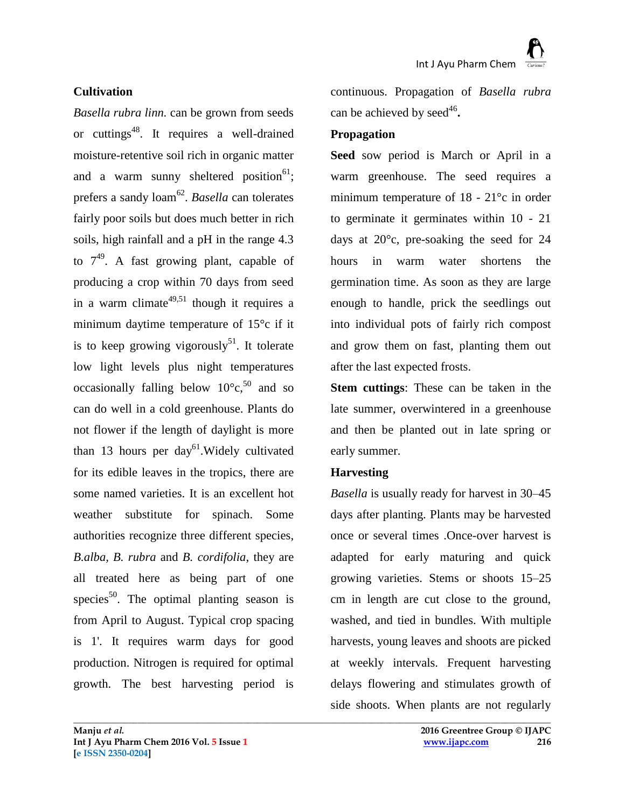#### **Cultivation**

*Basella rubra linn.* can be grown from seeds or cuttings<sup>48</sup>. It requires a well-drained moisture-retentive soil rich in organic matter and a warm sunny sheltered position<sup>61</sup>; prefers a sandy loam<sup>62</sup>. *Basella* can tolerates fairly poor soils but does much better in rich soils, high rainfall and a pH in the range 4.3 to  $7^{49}$ . A fast growing plant, capable of producing a crop within 70 days from seed in a warm climate<sup>49,51</sup> though it requires a minimum daytime temperature of 15°c if it is to keep growing vigorously<sup>51</sup>. It tolerate low light levels plus night temperatures occasionally falling below  $10^{\circ}$ c,<sup>50</sup> and so can do well in a cold greenhouse. Plants do not flower if the length of daylight is more than 13 hours per day<sup>61</sup>. Widely cultivated for its edible leaves in the tropics, there are some named varieties. It is an excellent hot weather substitute for spinach. Some authorities recognize three different species, *B.alba, B. rubra* and *B. cordifolia*, they are all treated here as being part of one species<sup>50</sup>. The optimal planting season is from April to August. Typical crop spacing is 1'. It requires warm days for good production. Nitrogen is required for optimal growth. The best harvesting period is

continuous. Propagation of *Basella rubra* can be achieved by seed<sup>46</sup>.

#### **Propagation**

**Seed** sow period is March or April in a warm greenhouse. The seed requires a minimum temperature of 18 - 21°c in order to germinate it germinates within 10 - 21 days at 20°c, pre-soaking the seed for 24 hours in warm water shortens the germination time. As soon as they are large enough to handle, prick the seedlings out into individual pots of fairly rich compost and grow them on fast, planting them out after the last expected frosts.

**Stem cuttings**: These can be taken in the late summer, overwintered in a greenhouse and then be planted out in late spring or early summer.

#### **Harvesting**

**\_\_\_\_\_\_\_\_\_\_\_\_\_\_\_\_\_\_\_\_\_\_\_\_\_\_\_\_\_\_\_\_\_\_\_\_\_\_\_\_\_\_\_\_\_\_\_\_\_\_\_\_\_\_\_\_\_\_\_\_\_\_\_\_\_\_\_\_\_\_\_\_\_\_\_\_\_\_\_\_\_\_\_\_\_\_\_\_\_\_\_\_\_\_\_\_\_\_\_\_\_\_\_\_**

*Basella* is usually ready for harvest in 30–45 days after planting. Plants may be harvested once or several times .Once-over harvest is adapted for early maturing and quick growing varieties. Stems or shoots 15–25 cm in length are cut close to the ground, washed, and tied in bundles. With multiple harvests, young leaves and shoots are picked at weekly intervals. Frequent harvesting delays flowering and stimulates growth of side shoots. When plants are not regularly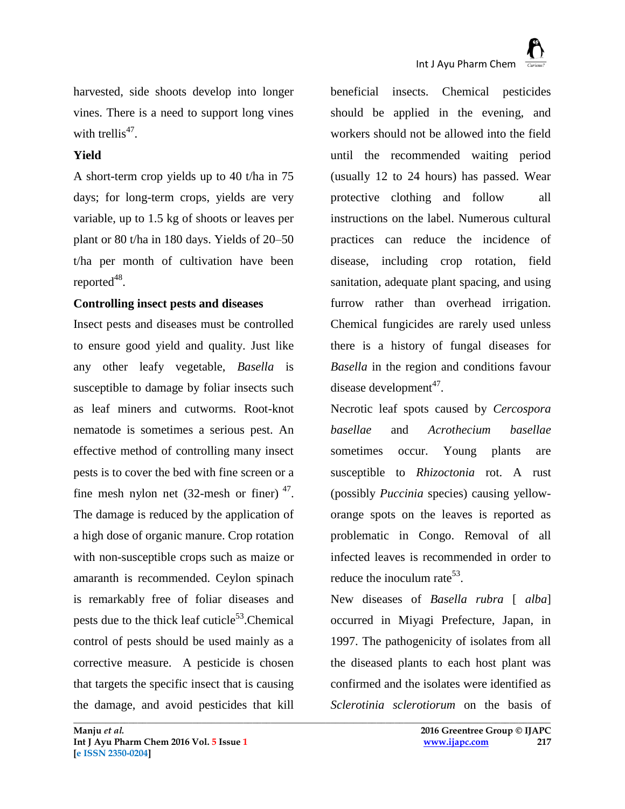harvested, side shoots develop into longer vines. There is a need to support long vines with trellis<sup>47</sup>.

## **Yield**

A short-term crop yields up to 40 t/ha in 75 days; for long-term crops, yields are very variable, up to 1.5 kg of shoots or leaves per plant or 80 t/ha in 180 days. Yields of 20–50 t/ha per month of cultivation have been reported $48$ .

## **Controlling insect pests and diseases**

Insect pests and diseases must be controlled to ensure good yield and quality. Just like any other leafy vegetable, *Basella* is susceptible to damage by foliar insects such as leaf miners and cutworms. Root-knot nematode is sometimes a serious pest. An effective method of controlling many insect pests is to cover the bed with fine screen or a fine mesh nylon net  $(32$ -mesh or finer)<sup>47</sup>. The damage is reduced by the application of a high dose of organic manure. Crop rotation with non-susceptible crops such as maize or amaranth is recommended. Ceylon spinach is remarkably free of foliar diseases and pests due to the thick leaf cuticle<sup>53</sup>.Chemical control of pests should be used mainly as a corrective measure. A pesticide is chosen that targets the specific insect that is causing the damage, and avoid pesticides that kill

beneficial insects. Chemical pesticides should be applied in the evening, and workers should not be allowed into the field until the recommended waiting period (usually 12 to 24 hours) has passed. Wear protective clothing and follow all instructions on the label. Numerous cultural practices can reduce the incidence of disease, including crop rotation, field sanitation, adequate plant spacing, and using furrow rather than overhead irrigation. Chemical fungicides are rarely used unless there is a history of fungal diseases for *Basella* in the region and conditions favour disease development<sup>47</sup>.

Necrotic leaf spots caused by *Cercospora basellae* and *Acrothecium basellae* sometimes occur. Young plants are susceptible to *Rhizoctonia* rot. A rust (possibly *Puccinia* species) causing yelloworange spots on the leaves is reported as problematic in Congo. Removal of all infected leaves is recommended in order to reduce the inoculum rate<sup>53</sup>.

New diseases of *Basella rubra* [ *alba*] occurred in Miyagi Prefecture, Japan, in 1997. The pathogenicity of isolates from all the diseased plants to each host plant was confirmed and the isolates were identified as *Sclerotinia sclerotiorum* on the basis of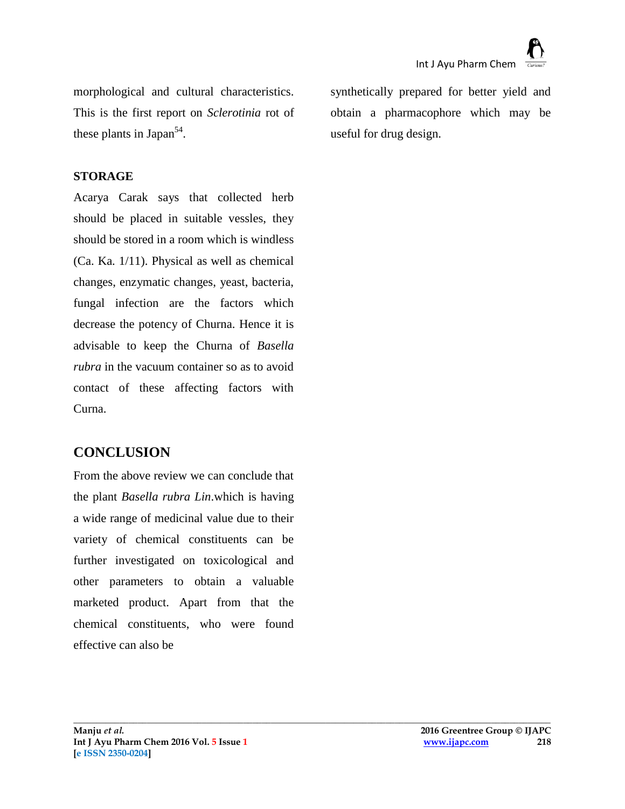morphological and cultural characteristics. This is the first report on *Sclerotinia* rot of these plants in Japan<sup>54</sup>.

#### **STORAGE**

Acarya Carak says that collected herb should be placed in suitable vessles, they should be stored in a room which is windless (Ca. Ka. 1/11). Physical as well as chemical changes, enzymatic changes, yeast, bacteria, fungal infection are the factors which decrease the potency of Churna. Hence it is advisable to keep the Churna of *Basella rubra* in the vacuum container so as to avoid contact of these affecting factors with Curna.

# **CONCLUSION**

From the above review we can conclude that the plant *Basella rubra Lin*.which is having a wide range of medicinal value due to their variety of chemical constituents can be further investigated on toxicological and other parameters to obtain a valuable marketed product. Apart from that the chemical constituents, who were found effective can also be

synthetically prepared for better yield and obtain a pharmacophore which may be useful for drug design.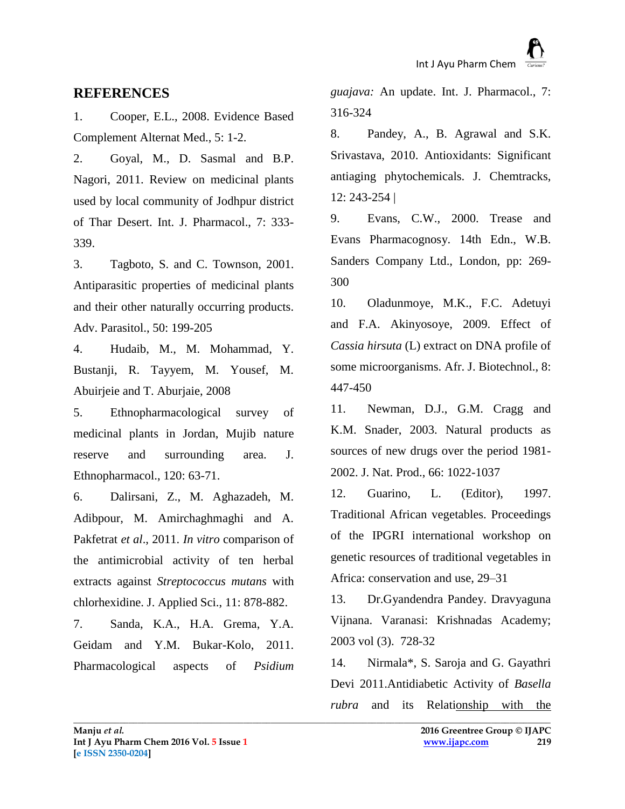## **REFERENCES**

1. Cooper, E.L., 2008. Evidence Based Complement Alternat Med., 5: 1-2.

2. Goyal, M., D. Sasmal and B.P. Nagori, 2011. Review on medicinal plants used by local community of Jodhpur district of Thar Desert. Int. J. Pharmacol., 7: 333- 339.

3. Tagboto, S. and C. Townson, 2001. Antiparasitic properties of medicinal plants and their other naturally occurring products. Adv. Parasitol., 50: 199-205

4. Hudaib, M., M. Mohammad, Y. Bustanji, R. Tayyem, M. Yousef, M. Abuirjeie and T. Aburjaie, 2008

5. Ethnopharmacological survey of medicinal plants in Jordan, Mujib nature reserve and surrounding area. J. Ethnopharmacol., 120: 63-71.

6. Dalirsani, Z., M. Aghazadeh, M. Adibpour, M. Amirchaghmaghi and A. Pakfetrat *et al*., 2011. *In vitro* comparison of the antimicrobial activity of ten herbal extracts against *Streptococcus mutans* with chlorhexidine. J. Applied Sci., 11: 878-882.

7. Sanda, K.A., H.A. Grema, Y.A. Geidam and Y.M. Bukar-Kolo, 2011. Pharmacological aspects of *Psidium*  *guajava:* An update. Int. J. Pharmacol., 7: 316-324

8. Pandey, A., B. Agrawal and S.K. Srivastava, 2010. Antioxidants: Significant antiaging phytochemicals. J. Chemtracks, 12: 243-254 |

9. Evans, C.W., 2000. Trease and Evans Pharmacognosy. 14th Edn., W.B. Sanders Company Ltd., London, pp: 269- 300

10. Oladunmoye, M.K., F.C. Adetuyi and F.A. Akinyosoye, 2009. Effect of *Cassia hirsuta* (L) extract on DNA profile of some microorganisms. Afr. J. Biotechnol., 8: 447-450

11. Newman, D.J., G.M. Cragg and K.M. Snader, 2003. Natural products as sources of new drugs over the period 1981- 2002. J. Nat. Prod., 66: 1022-1037

12. Guarino, L. (Editor), 1997. Traditional African vegetables. Proceedings of the IPGRI international workshop on genetic resources of traditional vegetables in Africa: conservation and use, 29–31

13. Dr.Gyandendra Pandey. Dravyaguna Vijnana. Varanasi: Krishnadas Academy; 2003 vol (3). 728-32

14. Nirmala\*, S. Saroja and G. Gayathri Devi 2011[.Antidiabetic Activity of](https://docs.google.com/viewer?a=v&q=cache:msEjhNoPNmYJ:www.sciencedomain.org/download.php?f=1298862196-Published_Nirmala_2011BBJ223_Final.pdf+basella+rubra+medicinal+study&hl=en&pid=bl&srcid=ADGEESgujwMfxRsR-NksHwFLmc4eFPBE7pkG4T_xbeuOp4DBt_rUSpj7AgPD5NHnwBb7rnwsTCl-CkqzJZU0XZmsXxp1YLAESw6Wj727hfk9T9eh7VEee1p2g-AF221bJ3HgcN6jEoOa&sig=AHIEtbRnUByI9olk5qgJUqh4dIMlSRW77w) *Basella rubra* [and its Relationship with the](https://docs.google.com/viewer?a=v&q=cache:msEjhNoPNmYJ:www.sciencedomain.org/download.php?f=1298862196-Published_Nirmala_2011BBJ223_Final.pdf+basella+rubra+medicinal+study&hl=en&pid=bl&srcid=ADGEESgujwMfxRsR-NksHwFLmc4eFPBE7pkG4T_xbeuOp4DBt_rUSpj7AgPD5NHnwBb7rnwsTCl-CkqzJZU0XZmsXxp1YLAESw6Wj727hfk9T9eh7VEee1p2g-AF221bJ3HgcN6jEoOa&sig=AHIEtbRnUByI9olk5qgJUqh4dIMlSRW77w)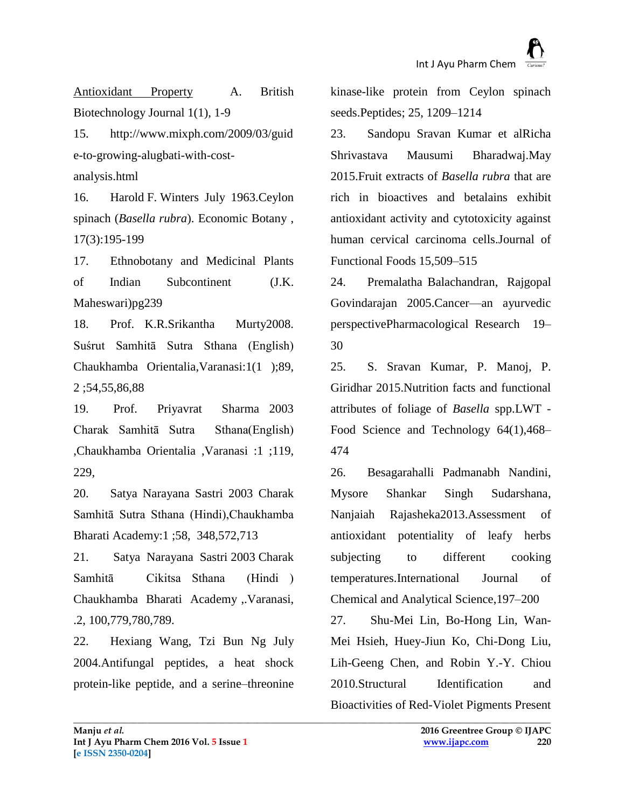[Antioxidant Property](https://docs.google.com/viewer?a=v&q=cache:msEjhNoPNmYJ:www.sciencedomain.org/download.php?f=1298862196-Published_Nirmala_2011BBJ223_Final.pdf+basella+rubra+medicinal+study&hl=en&pid=bl&srcid=ADGEESgujwMfxRsR-NksHwFLmc4eFPBE7pkG4T_xbeuOp4DBt_rUSpj7AgPD5NHnwBb7rnwsTCl-CkqzJZU0XZmsXxp1YLAESw6Wj727hfk9T9eh7VEee1p2g-AF221bJ3HgcN6jEoOa&sig=AHIEtbRnUByI9olk5qgJUqh4dIMlSRW77w) A. British Biotechnology Journal 1(1), 1-9

15. [http://www.mixph.com/2009/03/guid](http://www.mixph.com/2009/03/guide-to-growing-alugbati-with-cost-analysis.html) [e-to-growing-alugbati-with-cost](http://www.mixph.com/2009/03/guide-to-growing-alugbati-with-cost-analysis.html)[analysis.html](http://www.mixph.com/2009/03/guide-to-growing-alugbati-with-cost-analysis.html)

16. Harold F. Winters July 1963.Ceylon spinach (*Basella rubra*). [Economic Botany](http://link.springer.com/journal/12231) , 17(3):195-199

17. Ethnobotany and Medicinal Plants of Indian Subcontinent (J.K. Maheswari)pg239

18. Prof. K.R.Srikantha Murty2008. Suśrut Samhitā Sutra Sthana (English) Chaukhamba Orientalia,Varanasi:1(1 );89, 2 ;54,55,86,88

19. Prof. Priyavrat Sharma 2003 Charak Samhitā Sutra Sthana(English) ,Chaukhamba Orientalia ,Varanasi :1 ;119, 229,

20. Satya Narayana Sastri 2003 Charak Samhitā Sutra Sthana (Hindi),Chaukhamba Bharati Academy:1 ;58, 348,572,713

21. Satya Narayana Sastri 2003 Charak Samhitā Cikitsa Sthana (Hindi ) Chaukhamba Bharati Academy ,.Varanasi, .2, 100,779,780,789.

22. [Hexiang Wang,](http://www.sciencedirect.com/science/article/pii/S0196978104002025) [Tzi Bun Ng](http://www.sciencedirect.com/science/article/pii/S0196978104002025) July 2004.Antifungal peptides, a heat shock protein-like peptide, and a serine–threonine

kinase-like protein from Ceylon spinach seeds[.Peptides;](http://www.sciencedirect.com/science/journal/01969781) [25, 1](http://www.sciencedirect.com/science/journal/01969781/25/7)209–1214

23. [Sandopu Sravan Kumar](http://www.sciencedirect.com/science/article/pii/S1756464615001693) et a[lRicha](http://www.sciencedirect.com/science/article/pii/S1756464615001693)  [Shrivastava](http://www.sciencedirect.com/science/article/pii/S1756464615001693) [Mausumi Bharadwaj.](http://www.sciencedirect.com/science/article/pii/S1756464615001693)May 2015.Fruit extracts of *Basella rubra* that are rich in bioactives and betalains exhibit antioxidant activity and cytotoxicity against human cervical carcinoma cells[.Journal of](http://www.sciencedirect.com/science/journal/17564646)  [Functional Foods](http://www.sciencedirect.com/science/journal/17564646) [15,](http://www.sciencedirect.com/science/journal/17564646/15/supp/C)509–515

24. [Premalatha Balachandran,](http://www.sciencedirect.com/science/article/pii/S1043661804001094) [Rajgopal](http://www.sciencedirect.com/science/article/pii/S1043661804001094)  [Govindarajan](http://www.sciencedirect.com/science/article/pii/S1043661804001094) 2005.Cancer—an ayurvedic perspectiv[ePharmacological Research](http://www.sciencedirect.com/science/journal/10436618) 19– 30

25. [S. Sravan Kumar,](http://www.sciencedirect.com/science/article/pii/S0023643815003667) [P. Manoj,](http://www.sciencedirect.com/science/article/pii/S0023643815003667) [P.](http://www.sciencedirect.com/science/article/pii/S0023643815003667)  [Giridhar](http://www.sciencedirect.com/science/article/pii/S0023643815003667) 2015.Nutrition facts and functional attributes of foliage of *Basella* spp[.LWT -](http://www.sciencedirect.com/science/journal/00236438) [Food Science and Technology](http://www.sciencedirect.com/science/journal/00236438) [64\(1\)](http://www.sciencedirect.com/science/journal/00236438/64/1),468– 474

26. [Besagarahalli Padmanabh Nandini,](http://www.sciencedirect.com/science/article/pii/S0976120913000338) [Mysore Shankar Singh Sudarshana,](http://www.sciencedirect.com/science/article/pii/S0976120913000338) [Nanjaiah Rajasheka2](http://www.sciencedirect.com/science/article/pii/S0976120913000338)013.Assessment of antioxidant potentiality of leafy herbs subjecting to different cooking temperatures[.International Journal of](http://www.sciencedirect.com/science/journal/09761209)  [Chemical and Analytical Science,](http://www.sciencedirect.com/science/journal/09761209)197–200

27. [Shu-Mei Lin,](http://pubs.acs.org/action/doSearch?text1=Lin+Shu-Mei&field1=Contrib) [Bo-Hong Lin,](http://pubs.acs.org/action/doSearch?text1=Lin+Bo-Hong&field1=Contrib) [Wan-](http://pubs.acs.org/action/doSearch?text1=Hsieh+Wan-Mei&field1=Contrib)[Mei Hsieh,](http://pubs.acs.org/action/doSearch?text1=Hsieh+Wan-Mei&field1=Contrib) [Huey-Jiun Ko,](http://pubs.acs.org/action/doSearch?text1=Ko+Huey-Jiun&field1=Contrib) [Chi-Dong Liu,](http://pubs.acs.org/action/doSearch?text1=Liu+Chi-Dong&field1=Contrib) [Lih-Geeng Chen,](http://pubs.acs.org/action/doSearch?text1=Chen+Lih-Geeng&field1=Contrib) and [Robin Y.-Y. Chiou](http://pubs.acs.org/action/doSearch?text1=Chiou+Robin+Y-Y&field1=Contrib) 2010.Structural Identification and Bioactivities of Red-Violet Pigments Present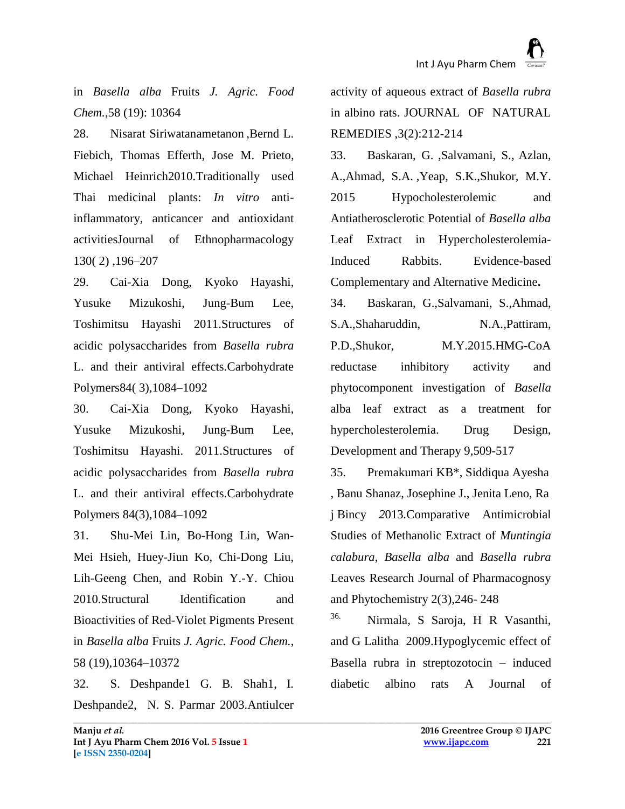in *Basella alba* Fruits *J. Agric. Food Chem.*,58 (19): 10364

28. [Nisarat Siriwatanametanon](http://www.sciencedirect.com/science/article/pii/S0378874110002680) [,Bernd L.](http://www.sciencedirect.com/science/article/pii/S0378874110002680)  [Fiebich,](http://www.sciencedirect.com/science/article/pii/S0378874110002680) [Thomas Efferth,](http://www.sciencedirect.com/science/article/pii/S0378874110002680) [Jose M. Prieto,](http://www.sciencedirect.com/science/article/pii/S0378874110002680) Michael Heinrich2010.Traditionally used Thai medicinal plants: *In vitro* antiinflammatory, anticancer and antioxidant activitie[sJournal of Ethnopharmacology](http://www.sciencedirect.com/science/journal/03788741) [130\( 2\)](http://www.sciencedirect.com/science/journal/03788741/130/2) ,196–207

29. [Cai-Xia Dong,](http://www.sciencedirect.com/science/article/pii/S014486171100004X) [Kyoko Hayashi,](http://www.sciencedirect.com/science/article/pii/S014486171100004X) [Yusuke Mizukoshi,](http://www.sciencedirect.com/science/article/pii/S014486171100004X) [Jung-Bum Lee,](http://www.sciencedirect.com/science/article/pii/S014486171100004X) [Toshimitsu Hayashi](http://www.sciencedirect.com/science/article/pii/S014486171100004X) 2011.Structures of acidic polysaccharides from *Basella rubra* L. and their antiviral effects[.Carbohydrate](http://www.sciencedirect.com/science/journal/01448617)  [Polymers](http://www.sciencedirect.com/science/journal/01448617)[84\( 3\)](http://www.sciencedirect.com/science/journal/01448617/84/3),1084–1092

30. [Cai-Xia Dong,](http://www.sciencedirect.com/science/article/pii/S014486171100004X) [Kyoko Hayashi,](http://www.sciencedirect.com/science/article/pii/S014486171100004X) [Yusuke Mizukoshi,](http://www.sciencedirect.com/science/article/pii/S014486171100004X) [Jung-Bum Lee,](http://www.sciencedirect.com/science/article/pii/S014486171100004X) [Toshimitsu Hayashi.](http://www.sciencedirect.com/science/article/pii/S014486171100004X) 2011.Structures of acidic polysaccharides from *Basella rubra* L. and their antiviral effects[.Carbohydrate](http://www.sciencedirect.com/science/journal/01448617)  [Polymers](http://www.sciencedirect.com/science/journal/01448617) [84\(3\)](http://www.sciencedirect.com/science/journal/01448617/84/3),1084–1092

31. [Shu-Mei Lin,](http://pubs.acs.org/action/doSearch?text1=Lin+Shu-Mei&field1=Contrib) [Bo-Hong Lin,](http://pubs.acs.org/action/doSearch?text1=Lin+Bo-Hong&field1=Contrib) [Wan-](http://pubs.acs.org/action/doSearch?text1=Hsieh+Wan-Mei&field1=Contrib)[Mei Hsieh,](http://pubs.acs.org/action/doSearch?text1=Hsieh+Wan-Mei&field1=Contrib) [Huey-Jiun Ko,](http://pubs.acs.org/action/doSearch?text1=Ko+Huey-Jiun&field1=Contrib) [Chi-Dong Liu,](http://pubs.acs.org/action/doSearch?text1=Liu+Chi-Dong&field1=Contrib) [Lih-Geeng Chen,](http://pubs.acs.org/action/doSearch?text1=Chen+Lih-Geeng&field1=Contrib) and [Robin Y.-Y. Chiou](http://pubs.acs.org/action/doSearch?text1=Chiou+Robin+Y-Y&field1=Contrib) 2010.Structural Identification and Bioactivities of Red-Violet Pigments Present in *Basella alba* Fruits *J. Agric. Food Chem.*, 58 (19),10364–10372

32. S. Deshpande1 G. B. Shah1, I. Deshpande2, N. S. Parmar 2003.Antiulcer activity of aqueous extract of *Basella rubra* in albino rats. JOURNAL OF NATURAL REMEDIES ,3(2):212-214

33. [Baskaran, G.](http://www.scopus.com/authid/detail.uri?authorId=55903854100&eid=2-s2.0-84949818280) [,Salvamani, S.,](http://www.scopus.com/authid/detail.uri?authorId=54893098800&eid=2-s2.0-84949818280) [Azlan,](http://www.scopus.com/authid/detail.uri?authorId=55903534200&eid=2-s2.0-84949818280)  [A.](http://www.scopus.com/authid/detail.uri?authorId=55903534200&eid=2-s2.0-84949818280)[,Ahmad, S.A.](http://www.scopus.com/authid/detail.uri?authorId=41261103100&eid=2-s2.0-84949818280) [,Yeap, S.K.,](http://www.scopus.com/authid/detail.uri?authorId=22952403200&eid=2-s2.0-84949818280)[Shukor, M.Y.](http://www.scopus.com/authid/detail.uri?authorId=23098320000&eid=2-s2.0-84949818280) 2015 Hypocholesterolemic and Antiatherosclerotic Potential of *Basella alba* Leaf Extract in Hypercholesterolemia-Induced Rabbits. [Evidence-based](http://www.scopus.com/source/sourceInfo.uri?sourceId=130094&origin=recordpage)  [Complementary and Alternative Medicine](http://www.scopus.com/source/sourceInfo.uri?sourceId=130094&origin=recordpage)**.**

34. [Baskaran, G.,](http://www.scopus.com/authid/detail.uri?authorId=55903854100&eid=2-s2.0-84921507513)[Salvamani, S.](http://www.scopus.com/authid/detail.uri?authorId=54893098800&eid=2-s2.0-84921507513)[,Ahmad,](http://www.scopus.com/authid/detail.uri?authorId=41261103100&eid=2-s2.0-84921507513)  [S.A.,](http://www.scopus.com/authid/detail.uri?authorId=41261103100&eid=2-s2.0-84921507513)[Shaharuddin, N.A.,](http://www.scopus.com/authid/detail.uri?authorId=15078833100&eid=2-s2.0-84921507513)[Pattiram,](http://www.scopus.com/authid/detail.uri?authorId=55514917500&eid=2-s2.0-84921507513)  [P.D.,](http://www.scopus.com/authid/detail.uri?authorId=55514917500&eid=2-s2.0-84921507513)[Shukor, M.Y.2](http://www.scopus.com/authid/detail.uri?authorId=23098320000&eid=2-s2.0-84921507513)015.HMG-CoA reductase inhibitory activity and phytocomponent investigation of *Basella*  alba leaf extract as a treatment for hypercholesterolemia. [Drug Design,](http://www.scopus.com/source/sourceInfo.uri?sourceId=19700175230&origin=recordpage)  [Development and Therapy](http://www.scopus.com/source/sourceInfo.uri?sourceId=19700175230&origin=recordpage) 9,509-517

35. Premakumari K[B\\*,](http://www.indianjournals.com/ijor.aspx?target=ijor:rjpp&volume=2&issue=3&article=019#cor001) Siddiqua Ayesha , Banu Shanaz, Josephine J., Jenita Leno, Ra j Bincy *2*013*.*Comparative Antimicrobial Studies of Methanolic Extract of *Muntingia calabura*, *Basella alba* and *Basella rubra* Leaves Research Journal of Pharmacognosy and Phytochemistry 2(3),246- 248

36. Nirmala, S Saroja, H R Vasanthi, and G Lalitha 2009[.Hypoglycemic effect of](http://www.academicjournals.org/jpp/PDF/Pdf2009/Aug/Nirmala%20et%20al.pdf)  [Basella rubra in streptozotocin –](http://www.academicjournals.org/jpp/PDF/Pdf2009/Aug/Nirmala%20et%20al.pdf) induced [diabetic albino rats A](http://www.academicjournals.org/jpp/PDF/Pdf2009/Aug/Nirmala%20et%20al.pdf) Journal of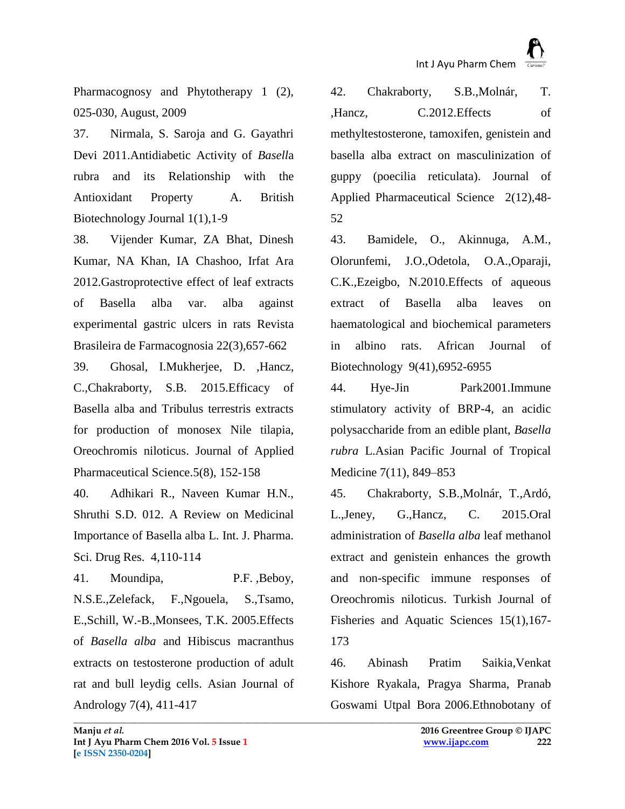Pharmacognosy and Phytotherapy 1 (2), 025-030, August, 2009

37. Nirmala, S. Saroja and G. Gayathri Devi 2011[.Antidiabetic Activity of](https://docs.google.com/viewer?a=v&q=cache:msEjhNoPNmYJ:www.sciencedomain.org/download.php?f=1298862196-Published_Nirmala_2011BBJ223_Final.pdf+basella+rubra+medicinal+study&hl=en&pid=bl&srcid=ADGEESgujwMfxRsR-NksHwFLmc4eFPBE7pkG4T_xbeuOp4DBt_rUSpj7AgPD5NHnwBb7rnwsTCl-CkqzJZU0XZmsXxp1YLAESw6Wj727hfk9T9eh7VEee1p2g-AF221bJ3HgcN6jEoOa&sig=AHIEtbRnUByI9olk5qgJUqh4dIMlSRW77w) *Basell*a [rubra and its Relationship with the](https://docs.google.com/viewer?a=v&q=cache:msEjhNoPNmYJ:www.sciencedomain.org/download.php?f=1298862196-Published_Nirmala_2011BBJ223_Final.pdf+basella+rubra+medicinal+study&hl=en&pid=bl&srcid=ADGEESgujwMfxRsR-NksHwFLmc4eFPBE7pkG4T_xbeuOp4DBt_rUSpj7AgPD5NHnwBb7rnwsTCl-CkqzJZU0XZmsXxp1YLAESw6Wj727hfk9T9eh7VEee1p2g-AF221bJ3HgcN6jEoOa&sig=AHIEtbRnUByI9olk5qgJUqh4dIMlSRW77w)  [Antioxidant Property](https://docs.google.com/viewer?a=v&q=cache:msEjhNoPNmYJ:www.sciencedomain.org/download.php?f=1298862196-Published_Nirmala_2011BBJ223_Final.pdf+basella+rubra+medicinal+study&hl=en&pid=bl&srcid=ADGEESgujwMfxRsR-NksHwFLmc4eFPBE7pkG4T_xbeuOp4DBt_rUSpj7AgPD5NHnwBb7rnwsTCl-CkqzJZU0XZmsXxp1YLAESw6Wj727hfk9T9eh7VEee1p2g-AF221bJ3HgcN6jEoOa&sig=AHIEtbRnUByI9olk5qgJUqh4dIMlSRW77w) A. British Biotechnology Journal 1(1),1-9

38. Vijender Kumar, ZA Bhat, Dinesh Kumar, NA Khan, IA Chashoo, Irfat Ara 2012[.Gastroprotective effect of leaf extracts](http://www.scielo.br/scielo.php?pid=S0102-695X2012000300026&script=sci_arttext&tlng=es)  [of Basella alba var. alba against](http://www.scielo.br/scielo.php?pid=S0102-695X2012000300026&script=sci_arttext&tlng=es)  [experimental gastric ulcers in rats](http://www.scielo.br/scielo.php?pid=S0102-695X2012000300026&script=sci_arttext&tlng=es) Revista Brasileira de Farmacognosia 22(3),657-662

39. [Ghosal, I.Mukherjee, D.](http://www.scopus.com/authid/detail.uri?authorId=56819126600&eid=2-s2.0-84940872680) [,Hancz,](http://www.scopus.com/authid/detail.uri?authorId=6602511716&eid=2-s2.0-84940872680)  [C.](http://www.scopus.com/authid/detail.uri?authorId=6602511716&eid=2-s2.0-84940872680)[,Chakraborty, S.B.](http://www.scopus.com/authid/detail.uri?authorId=35421358300&eid=2-s2.0-84940872680) 2015.Efficacy of Basella alba and Tribulus terrestris extracts for production of monosex Nile tilapia, Oreochromis niloticus. [Journal of Applied](http://www.scopus.com/source/sourceInfo.uri?sourceId=21100236605&origin=recordpage)  [Pharmaceutical Science.](http://www.scopus.com/source/sourceInfo.uri?sourceId=21100236605&origin=recordpage)[5\(8\),](http://www.scopemed.org/?jid=19&iid=2015-5-8.000) 152-158

40. Adhikari R., Naveen Kumar H.N., Shruthi S.D. 012. A Review on Medicinal Importance of Basella alba L. Int. J. Pharma. Sci. Drug Res. 4,110-114

41. [Moundipa, P.F.](http://www.scopus.com/authid/detail.uri?authorId=6507380067&eid=2-s2.0-29244490046) [,Beboy,](http://www.scopus.com/authid/detail.uri?authorId=10144401200&eid=2-s2.0-29244490046)  [N.S.E.](http://www.scopus.com/authid/detail.uri?authorId=10144401200&eid=2-s2.0-29244490046)[,Zelefack, F.](http://www.scopus.com/authid/detail.uri?authorId=10144750600&eid=2-s2.0-29244490046)[,Ngouela, S.,](http://www.scopus.com/authid/detail.uri?authorId=6508193075&eid=2-s2.0-29244490046)[Tsamo,](http://www.scopus.com/authid/detail.uri?authorId=6602861965&eid=2-s2.0-29244490046)  [E.,](http://www.scopus.com/authid/detail.uri?authorId=6602861965&eid=2-s2.0-29244490046)Schill, W.-B.[,Monsees, T.K.](http://www.scopus.com/authid/detail.uri?authorId=6603738405&eid=2-s2.0-29244490046) 2005.Effects of *Basella alba* and Hibiscus macranthus extracts on testosterone production of adult rat and bull leydig cells. [Asian Journal of](http://www.scopus.com/source/sourceInfo.uri?sourceId=27642&origin=recordpage)  [Andrology](http://www.scopus.com/source/sourceInfo.uri?sourceId=27642&origin=recordpage) 7(4), 411-417

42. [Chakraborty, S.B.,](http://www.scopus.com/authid/detail.uri?authorId=35421358300&eid=2-s2.0-84876050183)[Molnár, T.](http://www.scopus.com/authid/detail.uri?authorId=14619567700&eid=2-s2.0-84876050183) [,Hancz, C.2](http://www.scopus.com/authid/detail.uri?authorId=6602511716&eid=2-s2.0-84876050183)012.Effects of methyltestosterone, tamoxifen, genistein and basella alba extract on masculinization of guppy (poecilia reticulata). [Journal of](http://www.scopus.com/source/sourceInfo.uri?sourceId=21100236605&origin=recordpage)  [Applied Pharmaceutical Science](http://www.scopus.com/source/sourceInfo.uri?sourceId=21100236605&origin=recordpage) 2(12),48- 52

43. [Bamidele, O.,](http://www.scopus.com/authid/detail.uri?authorId=36087133400&eid=2-s2.0-78049472606) [Akinnuga, A.M.,](http://www.scopus.com/authid/detail.uri?authorId=36087028500&eid=2-s2.0-78049472606) [Olorunfemi, J.O.](http://www.scopus.com/authid/detail.uri?authorId=6603082074&eid=2-s2.0-78049472606)[,Odetola, O.A.,](http://www.scopus.com/authid/detail.uri?authorId=36612121200&eid=2-s2.0-78049472606)[Oparaji,](http://www.scopus.com/authid/detail.uri?authorId=36612254800&eid=2-s2.0-78049472606)  [C.K.](http://www.scopus.com/authid/detail.uri?authorId=36612254800&eid=2-s2.0-78049472606)[,Ezeigbo, N.2](http://www.scopus.com/authid/detail.uri?authorId=36815839100&eid=2-s2.0-78049472606)010.Effects of aqueous extract of Basella alba leaves on haematological and biochemical parameters in albino rats. [African Journal of](http://www.scopus.com/source/sourceInfo.uri?sourceId=14940&origin=recordpage)  [Biotechnology](http://www.scopus.com/source/sourceInfo.uri?sourceId=14940&origin=recordpage) 9(41),6952-6955

44. [Hye-Jin Park2](http://www.sciencedirect.com/science/article/pii/S1995764514601486)001.Immune stimulatory activity of BRP-4, an acidic polysaccharide from an edible plant, *Basella rubra* L[.Asian Pacific Journal of Tropical](http://www.sciencedirect.com/science/journal/19957645)  [Medicine](http://www.sciencedirect.com/science/journal/19957645) [7\(11\),](http://www.sciencedirect.com/science/journal/19957645/7/11) 849–853

45. [Chakraborty, S.B.](http://www.scopus.com/authid/detail.uri?authorId=35421358300&eid=2-s2.0-84930331205)[,Molnár, T.,](http://www.scopus.com/authid/detail.uri?authorId=14619567700&eid=2-s2.0-84930331205)[Ardó,](http://www.scopus.com/authid/detail.uri?authorId=23479551300&eid=2-s2.0-84930331205)  [L.,](http://www.scopus.com/authid/detail.uri?authorId=23479551300&eid=2-s2.0-84930331205)[Jeney, G.,](http://www.scopus.com/authid/detail.uri?authorId=6602652586&eid=2-s2.0-84930331205)[Hancz, C.](http://www.scopus.com/authid/detail.uri?authorId=6602511716&eid=2-s2.0-84930331205) 2015.Oral administration of *Basella alba* leaf methanol extract and genistein enhances the growth and non-specific immune responses of Oreochromis niloticus. [Turkish Journal of](http://www.scopus.com/source/sourceInfo.uri?sourceId=19200157113&origin=recordpage)  [Fisheries and Aquatic Sciences](http://www.scopus.com/source/sourceInfo.uri?sourceId=19200157113&origin=recordpage) 15(1),167- 173

46. [Abinash Pratim Saikia,Venkat](http://www.sciencedirect.com/science/article/pii/S0378874106000341)  [Kishore Ryakala,](http://www.sciencedirect.com/science/article/pii/S0378874106000341) [Pragya Sharma,](http://www.sciencedirect.com/science/article/pii/S0378874106000341) [Pranab](http://www.sciencedirect.com/science/article/pii/S0378874106000341)  [Goswami](http://www.sciencedirect.com/science/article/pii/S0378874106000341) [Utpal Bora](http://www.sciencedirect.com/science/article/pii/S0378874106000341) 2006.Ethnobotany of